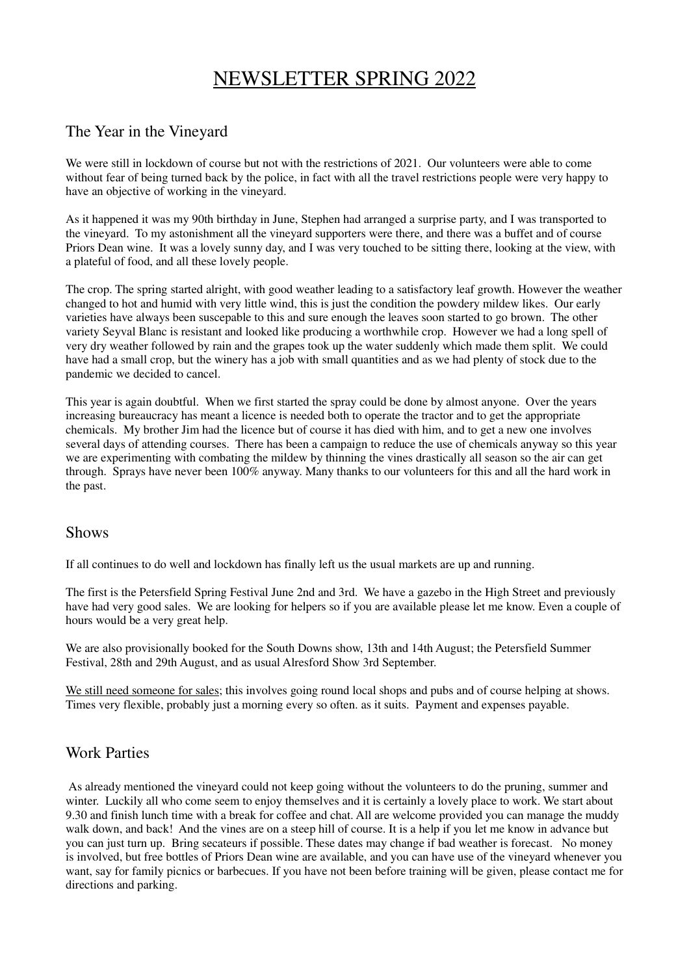# NEWSLETTER SPRING 2022

### The Year in the Vineyard

We were still in lockdown of course but not with the restrictions of 2021. Our volunteers were able to come without fear of being turned back by the police, in fact with all the travel restrictions people were very happy to have an objective of working in the vineyard.

As it happened it was my 90th birthday in June, Stephen had arranged a surprise party, and I was transported to the vineyard. To my astonishment all the vineyard supporters were there, and there was a buffet and of course Priors Dean wine. It was a lovely sunny day, and I was very touched to be sitting there, looking at the view, with a plateful of food, and all these lovely people.

The crop. The spring started alright, with good weather leading to a satisfactory leaf growth. However the weather changed to hot and humid with very little wind, this is just the condition the powdery mildew likes. Our early varieties have always been suscepable to this and sure enough the leaves soon started to go brown. The other variety Seyval Blanc is resistant and looked like producing a worthwhile crop. However we had a long spell of very dry weather followed by rain and the grapes took up the water suddenly which made them split. We could have had a small crop, but the winery has a job with small quantities and as we had plenty of stock due to the pandemic we decided to cancel.

This year is again doubtful. When we first started the spray could be done by almost anyone. Over the years increasing bureaucracy has meant a licence is needed both to operate the tractor and to get the appropriate chemicals. My brother Jim had the licence but of course it has died with him, and to get a new one involves several days of attending courses. There has been a campaign to reduce the use of chemicals anyway so this year we are experimenting with combating the mildew by thinning the vines drastically all season so the air can get through. Sprays have never been 100% anyway. Many thanks to our volunteers for this and all the hard work in the past.

#### **Shows**

If all continues to do well and lockdown has finally left us the usual markets are up and running.

The first is the Petersfield Spring Festival June 2nd and 3rd. We have a gazebo in the High Street and previously have had very good sales. We are looking for helpers so if you are available please let me know. Even a couple of hours would be a very great help.

We are also provisionally booked for the South Downs show, 13th and 14th August; the Petersfield Summer Festival, 28th and 29th August, and as usual Alresford Show 3rd September.

We still need someone for sales; this involves going round local shops and pubs and of course helping at shows. Times very flexible, probably just a morning every so often. as it suits. Payment and expenses payable.

### Work Parties

As already mentioned the vineyard could not keep going without the volunteers to do the pruning, summer and winter. Luckily all who come seem to enjoy themselves and it is certainly a lovely place to work. We start about 9.30 and finish lunch time with a break for coffee and chat. All are welcome provided you can manage the muddy walk down, and back! And the vines are on a steep hill of course. It is a help if you let me know in advance but you can just turn up. Bring secateurs if possible. These dates may change if bad weather is forecast. No money is involved, but free bottles of Priors Dean wine are available, and you can have use of the vineyard whenever you want, say for family picnics or barbecues. If you have not been before training will be given, please contact me for directions and parking.